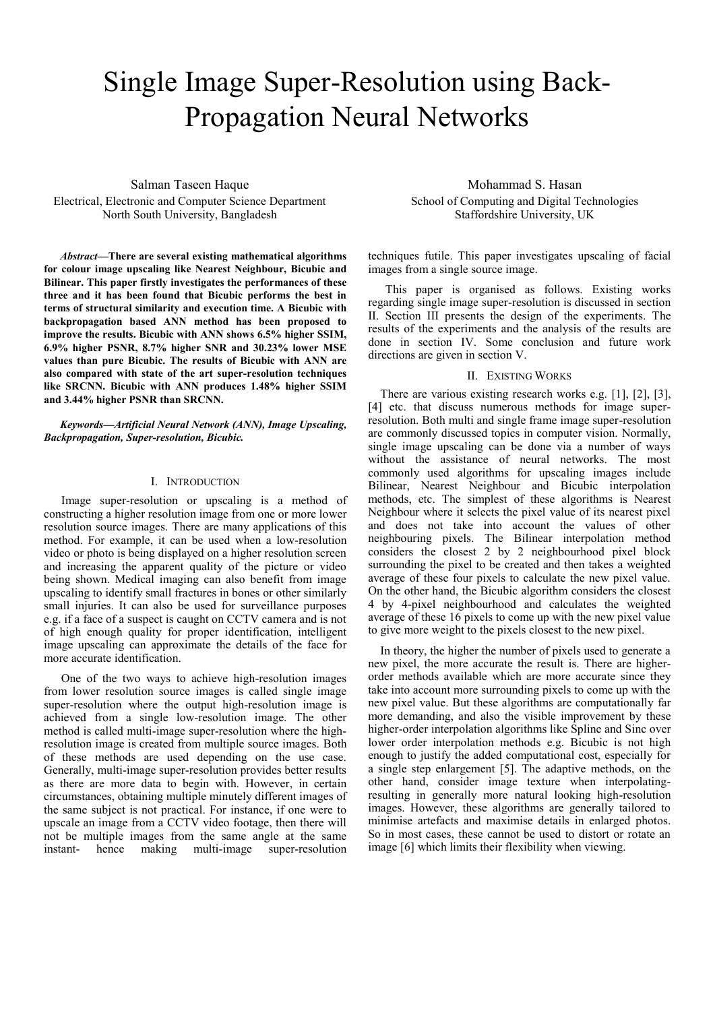# Single Image Super-Resolution using Back-Propagation Neural Networks

Salman Taseen Haque Electrical, Electronic and Computer Science Department North South University, Bangladesh

*Abstract***—There are several existing mathematical algorithms for colour image upscaling like Nearest Neighbour, Bicubic and Bilinear. This paper firstly investigates the performances of these three and it has been found that Bicubic performs the best in terms of structural similarity and execution time. A Bicubic with backpropagation based ANN method has been proposed to improve the results. Bicubic with ANN shows 6.5% higher SSIM, 6.9% higher PSNR, 8.7% higher SNR and 30.23% lower MSE values than pure Bicubic. The results of Bicubic with ANN are also compared with state of the art super-resolution techniques like SRCNN. Bicubic with ANN produces 1.48% higher SSIM and 3.44% higher PSNR than SRCNN.**

*Keywords—Artificial Neural Network (ANN), Image Upscaling, Backpropagation, Super-resolution, Bicubic.*

## I. INTRODUCTION

Image super-resolution or upscaling is a method of constructing a higher resolution image from one or more lower resolution source images. There are many applications of this method. For example, it can be used when a low-resolution video or photo is being displayed on a higher resolution screen and increasing the apparent quality of the picture or video being shown. Medical imaging can also benefit from image upscaling to identify small fractures in bones or other similarly small injuries. It can also be used for surveillance purposes e.g. if a face of a suspect is caught on CCTV camera and is not of high enough quality for proper identification, intelligent image upscaling can approximate the details of the face for more accurate identification.

One of the two ways to achieve high-resolution images from lower resolution source images is called single image super-resolution where the output high-resolution image is achieved from a single low-resolution image. The other method is called multi-image super-resolution where the highresolution image is created from multiple source images. Both of these methods are used depending on the use case. Generally, multi-image super-resolution provides better results as there are more data to begin with. However, in certain circumstances, obtaining multiple minutely different images of the same subject is not practical. For instance, if one were to upscale an image from a CCTV video footage, then there will not be multiple images from the same angle at the same instant- hence making multi-image super-resolution

Mohammad S. Hasan School of Computing and Digital Technologies Staffordshire University, UK

techniques futile. This paper investigates upscaling of facial images from a single source image.

This paper is organised as follows. Existing works regarding single image super-resolution is discussed in section [II.](#page-0-0) Section [III](#page-1-0) presents the design of the experiments. The results of the experiments and the analysis of the results are done in section [IV.](#page-2-0) Some conclusion and future work directions are given in section [V.](#page-4-0)

## II. EXISTING WORKS

<span id="page-0-0"></span>There are various existing research works e.g. [1], [2], [3], [4] etc. that discuss numerous methods for image superresolution. Both multi and single frame image super-resolution are commonly discussed topics in computer vision. Normally, single image upscaling can be done via a number of ways without the assistance of neural networks. The most commonly used algorithms for upscaling images include Bilinear, Nearest Neighbour and Bicubic interpolation methods, etc. The simplest of these algorithms is Nearest Neighbour where it selects the pixel value of its nearest pixel and does not take into account the values of other neighbouring pixels. The Bilinear interpolation method considers the closest 2 by 2 neighbourhood pixel block surrounding the pixel to be created and then takes a weighted average of these four pixels to calculate the new pixel value. On the other hand, the Bicubic algorithm considers the closest 4 by 4-pixel neighbourhood and calculates the weighted average of these 16 pixels to come up with the new pixel value to give more weight to the pixels closest to the new pixel.

In theory, the higher the number of pixels used to generate a new pixel, the more accurate the result is. There are higherorder methods available which are more accurate since they take into account more surrounding pixels to come up with the new pixel value. But these algorithms are computationally far more demanding, and also the visible improvement by these higher-order interpolation algorithms like Spline and Sinc over lower order interpolation methods e.g. Bicubic is not high enough to justify the added computational cost, especially for a single step enlargement [5]. The adaptive methods, on the other hand, consider image texture when interpolatingresulting in generally more natural looking high-resolution images. However, these algorithms are generally tailored to minimise artefacts and maximise details in enlarged photos. So in most cases, these cannot be used to distort or rotate an image [6] which limits their flexibility when viewing.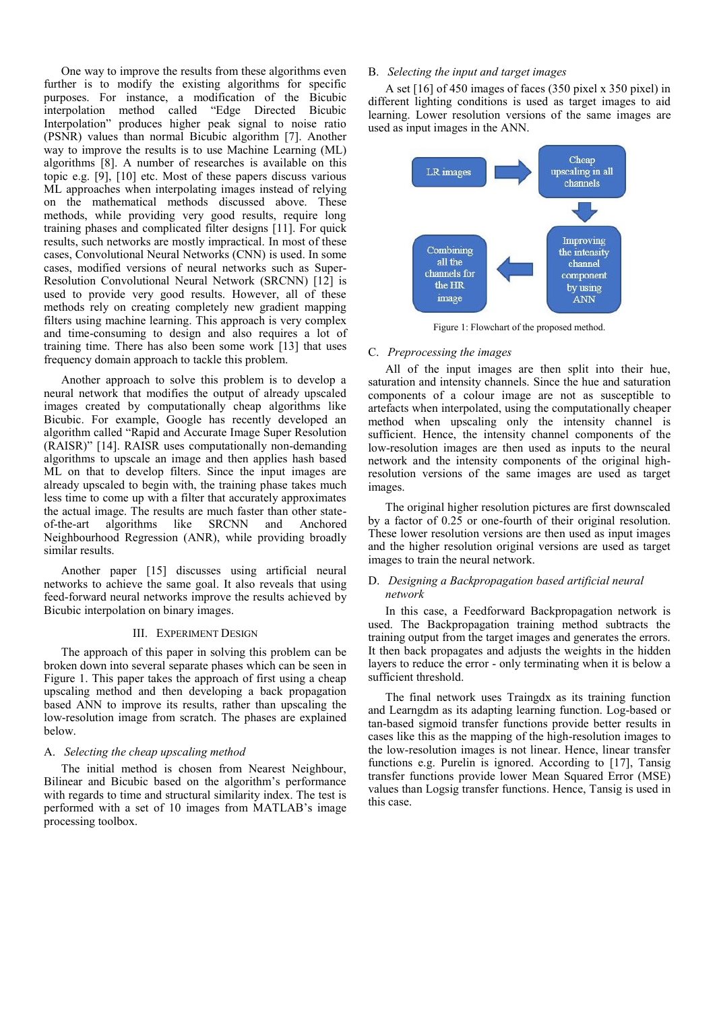One way to improve the results from these algorithms even further is to modify the existing algorithms for specific purposes. For instance, a modification of the Bicubic interpolation method called "Edge Directed Bicubic Interpolation" produces higher peak signal to noise ratio (PSNR) values than normal Bicubic algorithm [7]. Another way to improve the results is to use Machine Learning (ML) algorithms [8]. A number of researches is available on this topic e.g. [9], [10] etc. Most of these papers discuss various ML approaches when interpolating images instead of relying on the mathematical methods discussed above. These methods, while providing very good results, require long training phases and complicated filter designs [11]. For quick results, such networks are mostly impractical. In most of these cases, Convolutional Neural Networks (CNN) is used. In some cases, modified versions of neural networks such as Super-Resolution Convolutional Neural Network (SRCNN) [12] is used to provide very good results. However, all of these methods rely on creating completely new gradient mapping filters using machine learning. This approach is very complex and time-consuming to design and also requires a lot of training time. There has also been some work [13] that uses frequency domain approach to tackle this problem.

Another approach to solve this problem is to develop a neural network that modifies the output of already upscaled images created by computationally cheap algorithms like Bicubic. For example, Google has recently developed an algorithm called "Rapid and Accurate Image Super Resolution (RAISR)" [14]. RAISR uses computationally non-demanding algorithms to upscale an image and then applies hash based ML on that to develop filters. Since the input images are already upscaled to begin with, the training phase takes much less time to come up with a filter that accurately approximates the actual image. The results are much faster than other stateof-the-art algorithms like SRCNN and Anchored Neighbourhood Regression (ANR), while providing broadly similar results.

Another paper [15] discusses using artificial neural networks to achieve the same goal. It also reveals that using feed-forward neural networks improve the results achieved by Bicubic interpolation on binary images.

#### III. EXPERIMENT DESIGN

<span id="page-1-0"></span>The approach of this paper in solving this problem can be broken down into several separate phases which can be seen in [Figure 1.](#page-1-1) This paper takes the approach of first using a cheap upscaling method and then developing a back propagation based ANN to improve its results, rather than upscaling the low-resolution image from scratch. The phases are explained below.

## A. *Selecting the cheap upscaling method*

The initial method is chosen from Nearest Neighbour, Bilinear and Bicubic based on the algorithm's performance with regards to time and structural similarity index. The test is performed with a set of 10 images from MATLAB's image processing toolbox.

## B. *Selecting the input and target images*

A set [16] of 450 images of faces (350 pixel x 350 pixel) in different lighting conditions is used as target images to aid learning. Lower resolution versions of the same images are used as input images in the ANN.



Figure 1: Flowchart of the proposed method.

## <span id="page-1-1"></span>C. *Preprocessing the images*

All of the input images are then split into their hue, saturation and intensity channels. Since the hue and saturation components of a colour image are not as susceptible to artefacts when interpolated, using the computationally cheaper method when upscaling only the intensity channel is sufficient. Hence, the intensity channel components of the low-resolution images are then used as inputs to the neural network and the intensity components of the original highresolution versions of the same images are used as target images.

The original higher resolution pictures are first downscaled by a factor of 0.25 or one-fourth of their original resolution. These lower resolution versions are then used as input images and the higher resolution original versions are used as target images to train the neural network.

## D. *Designing a Backpropagation based artificial neural network*

In this case, a Feedforward Backpropagation network is used. The Backpropagation training method subtracts the training output from the target images and generates the errors. It then back propagates and adjusts the weights in the hidden layers to reduce the error - only terminating when it is below a sufficient threshold.

The final network uses Traingdx as its training function and Learngdm as its adapting learning function. Log-based or tan-based sigmoid transfer functions provide better results in cases like this as the mapping of the high-resolution images to the low-resolution images is not linear. Hence, linear transfer functions e.g. Purelin is ignored. According to [17], Tansig transfer functions provide lower Mean Squared Error (MSE) values than Logsig transfer functions. Hence, Tansig is used in this case.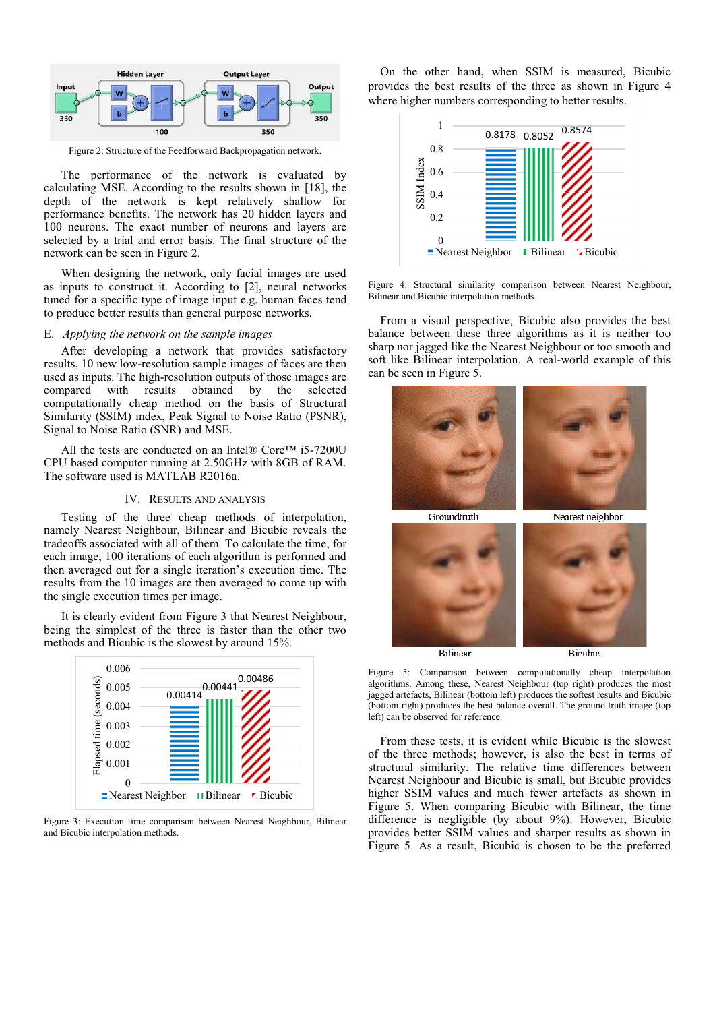

<span id="page-2-1"></span>Figure 2: Structure of the Feedforward Backpropagation network.

The performance of the network is evaluated by calculating MSE. According to the results shown in [18], the depth of the network is kept relatively shallow for performance benefits. The network has 20 hidden layers and 100 neurons. The exact number of neurons and layers are selected by a trial and error basis. The final structure of the network can be seen in [Figure 2.](#page-2-1)

When designing the network, only facial images are used as inputs to construct it. According to [2], neural networks tuned for a specific type of image input e.g. human faces tend to produce better results than general purpose networks.

## E. *Applying the network on the sample images*

After developing a network that provides satisfactory results, 10 new low-resolution sample images of faces are then used as inputs. The high-resolution outputs of those images are compared with results obtained by the selected computationally cheap method on the basis of Structural Similarity (SSIM) index, Peak Signal to Noise Ratio (PSNR), Signal to Noise Ratio (SNR) and MSE.

All the tests are conducted on an Intel® Core™ i5-7200U CPU based computer running at 2.50GHz with 8GB of RAM. The software used is MATLAB R2016a.

## IV. RESULTS AND ANALYSIS

<span id="page-2-0"></span>Testing of the three cheap methods of interpolation, namely Nearest Neighbour, Bilinear and Bicubic reveals the tradeoffs associated with all of them. To calculate the time, for each image, 100 iterations of each algorithm is performed and then averaged out for a single iteration's execution time. The results from the 10 images are then averaged to come up with the single execution times per image.

It is clearly evident from [Figure 3](#page-2-2) that Nearest Neighbour, being the simplest of the three is faster than the other two methods and Bicubic is the slowest by around 15%.



<span id="page-2-2"></span>Figure 3: Execution time comparison between Nearest Neighbour, Bilinear and Bicubic interpolation methods.

On the other hand, when SSIM is measured, Bicubic provides the best results of the three as shown in [Figure 4](#page-2-3) where higher numbers corresponding to better results.



<span id="page-2-3"></span>Figure 4: Structural similarity comparison between Nearest Neighbour, Bilinear and Bicubic interpolation methods.

From a visual perspective, Bicubic also provides the best balance between these three algorithms as it is neither too sharp nor jagged like the Nearest Neighbour or too smooth and soft like Bilinear interpolation. A real-world example of this can be seen in [Figure 5.](#page-2-4)



Bilinear

Bicubic

<span id="page-2-4"></span>Figure 5: Comparison between computationally cheap interpolation algorithms. Among these, Nearest Neighbour (top right) produces the most jagged artefacts, Bilinear (bottom left) produces the softest results and Bicubic (bottom right) produces the best balance overall. The ground truth image (top left) can be observed for reference.

From these tests, it is evident while Bicubic is the slowest of the three methods; however, is also the best in terms of structural similarity. The relative time differences between Nearest Neighbour and Bicubic is small, but Bicubic provides higher SSIM values and much fewer artefacts as shown in [Figure 5.](#page-2-4) When comparing Bicubic with Bilinear, the time difference is negligible (by about 9%). However, Bicubic provides better SSIM values and sharper results as shown in [Figure 5.](#page-2-4) As a result, Bicubic is chosen to be the preferred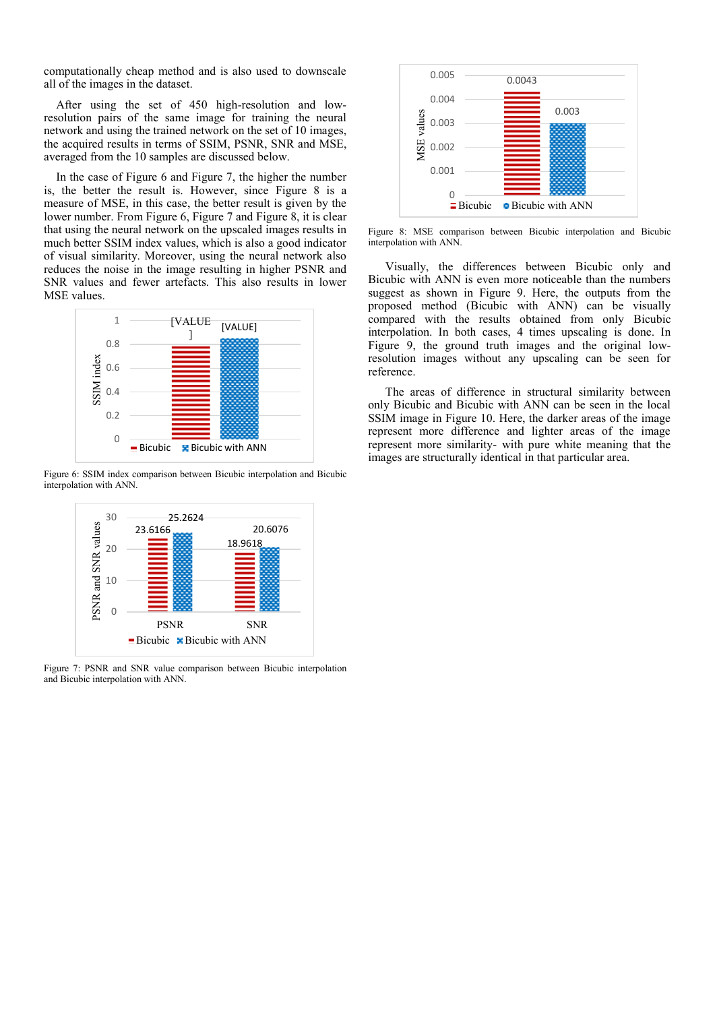computationally cheap method and is also used to downscale all of the images in the dataset.

After using the set of 450 high-resolution and lowresolution pairs of the same image for training the neural network and using the trained network on the set of 10 images, the acquired results in terms of SSIM, PSNR, SNR and MSE, averaged from the 10 samples are discussed below.

In the case of [Figure 6](#page-3-0) and [Figure 7,](#page-3-1) the higher the number is, the better the result is. However, since [Figure 8](#page-3-2) is a measure of MSE, in this case, the better result is given by the lower number. From [Figure 6,](#page-3-0) [Figure 7](#page-3-1) and [Figure 8,](#page-3-2) it is clear that using the neural network on the upscaled images results in much better SSIM index values, which is also a good indicator of visual similarity. Moreover, using the neural network also reduces the noise in the image resulting in higher PSNR and SNR values and fewer artefacts. This also results in lower MSE values.



<span id="page-3-0"></span>Figure 6: SSIM index comparison between Bicubic interpolation and Bicubic interpolation with ANN.



<span id="page-3-1"></span>Figure 7: PSNR and SNR value comparison between Bicubic interpolation and Bicubic interpolation with ANN.



<span id="page-3-2"></span>Figure 8: MSE comparison between Bicubic interpolation and Bicubic interpolation with ANN.

Visually, the differences between Bicubic only and Bicubic with ANN is even more noticeable than the numbers suggest as shown in [Figure 9.](#page-4-1) Here, the outputs from the proposed method (Bicubic with ANN) can be visually compared with the results obtained from only Bicubic interpolation. In both cases, 4 times upscaling is done. In [Figure 9,](#page-4-1) the ground truth images and the original lowresolution images without any upscaling can be seen for reference.

The areas of difference in structural similarity between only Bicubic and Bicubic with ANN can be seen in the local SSIM image in [Figure 10.](#page-4-2) Here, the darker areas of the image represent more difference and lighter areas of the image represent more similarity- with pure white meaning that the images are structurally identical in that particular area.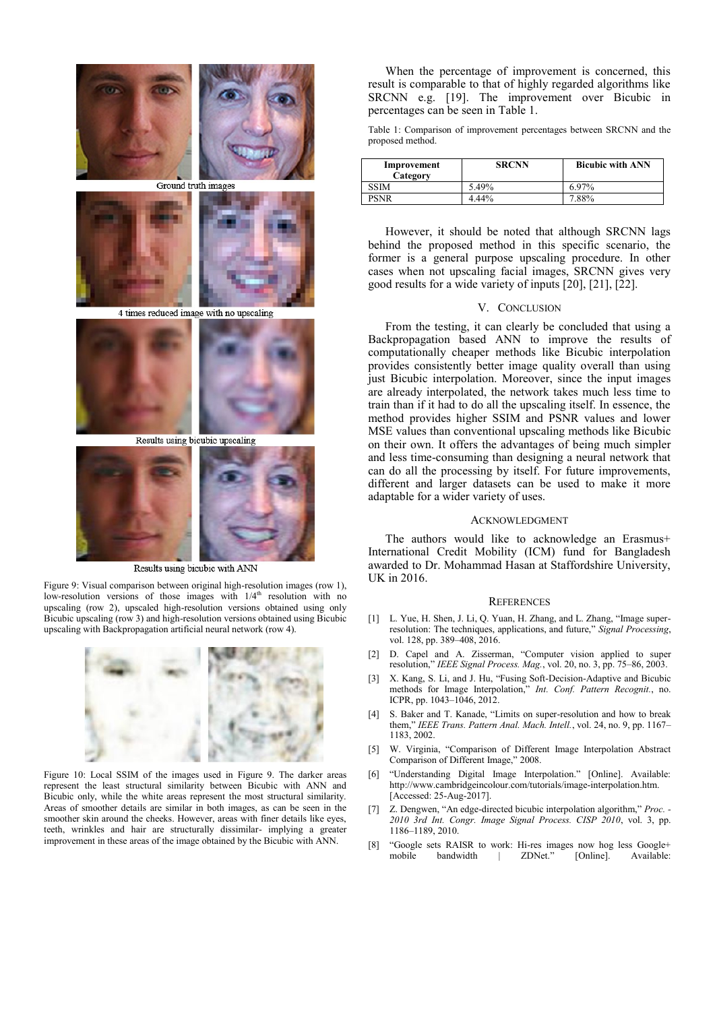

Results using bicubic with ANN

<span id="page-4-1"></span>Figure 9: Visual comparison between original high-resolution images (row 1), low-resolution versions of those images with  $1/4^{\text{th}}$  resolution with no upscaling (row 2), upscaled high-resolution versions obtained using only Bicubic upscaling (row 3) and high-resolution versions obtained using Bicubic upscaling with Backpropagation artificial neural network (row 4).

<span id="page-4-2"></span>

Figure 10: Local SSIM of the images used in [Figure 9.](#page-4-1) The darker areas represent the least structural similarity between Bicubic with ANN and Bicubic only, while the white areas represent the most structural similarity. Areas of smoother details are similar in both images, as can be seen in the smoother skin around the cheeks. However, areas with finer details like eyes, teeth, wrinkles and hair are structurally dissimilar- implying a greater improvement in these areas of the image obtained by the Bicubic with ANN.

When the percentage of improvement is concerned, this result is comparable to that of highly regarded algorithms like SRCNN e.g. [19]. The improvement over Bicubic in percentages can be seen in [Table 1.](#page-4-3)

<span id="page-4-3"></span>Table 1: Comparison of improvement percentages between SRCNN and the proposed method.

| Improvement<br>Category | <b>SRCNN</b> | <b>Bicubic with ANN</b> |
|-------------------------|--------------|-------------------------|
| SSIM                    | 5.49%        | 6.97%                   |
| PSNR                    | $4.44\%$     | 7.88%                   |

However, it should be noted that although SRCNN lags behind the proposed method in this specific scenario, the former is a general purpose upscaling procedure. In other cases when not upscaling facial images, SRCNN gives very good results for a wide variety of inputs [20], [21], [22].

## V. CONCLUSION

<span id="page-4-0"></span>From the testing, it can clearly be concluded that using a Backpropagation based ANN to improve the results of computationally cheaper methods like Bicubic interpolation provides consistently better image quality overall than using just Bicubic interpolation. Moreover, since the input images are already interpolated, the network takes much less time to train than if it had to do all the upscaling itself. In essence, the method provides higher SSIM and PSNR values and lower MSE values than conventional upscaling methods like Bicubic on their own. It offers the advantages of being much simpler and less time-consuming than designing a neural network that can do all the processing by itself. For future improvements, different and larger datasets can be used to make it more adaptable for a wider variety of uses.

#### ACKNOWLEDGMENT

The authors would like to acknowledge an Erasmus+ International Credit Mobility (ICM) fund for Bangladesh awarded to Dr. Mohammad Hasan at Staffordshire University, UK in 2016.

#### **REFERENCES**

- [1] L. Yue, H. Shen, J. Li, Q. Yuan, H. Zhang, and L. Zhang, "Image superresolution: The techniques, applications, and future," *Signal Processing*, vol. 128, pp. 389–408, 2016.
- [2] D. Capel and A. Zisserman, "Computer vision applied to super resolution," *IEEE Signal Process. Mag.*, vol. 20, no. 3, pp. 75–86, 2003.
- [3] X. Kang, S. Li, and J. Hu, "Fusing Soft-Decision-Adaptive and Bicubic methods for Image Interpolation," *Int. Conf. Pattern Recognit.*, no. ICPR, pp. 1043–1046, 2012.
- [4] S. Baker and T. Kanade, "Limits on super-resolution and how to break them," *IEEE Trans. Pattern Anal. Mach. Intell.*, vol. 24, no. 9, pp. 1167– 1183, 2002.
- [5] W. Virginia, "Comparison of Different Image Interpolation Abstract Comparison of Different Image," 2008.
- [6] "Understanding Digital Image Interpolation." [Online]. Available: http://www.cambridgeincolour.com/tutorials/image-interpolation.htm. [Accessed: 25-Aug-2017].
- [7] Z. Dengwen, "An edge-directed bicubic interpolation algorithm," *Proc. - 2010 3rd Int. Congr. Image Signal Process. CISP 2010*, vol. 3, pp. 1186–1189, 2010.
- "Google sets RAISR to work: Hi-res images now hog less Google+<br>mobile bandwidth | ZDNet." [Online]. Available: mobile bandwidth | ZDNet." [Online]. Available: